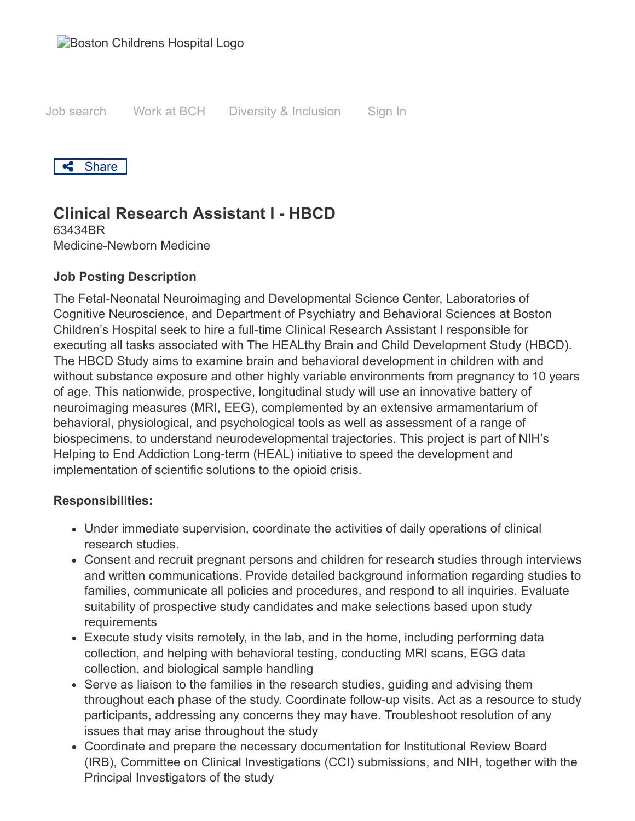Job search [Work at BCH](https://jobs.bostonchildrens.org/working-at-childrens/) [Diversity & Inclusion](https://jobs.bostonchildrens.org/equity-diversity-inclusion/) Sign In



# **Clinical Research Assistant I - HBCD**

63434BR Medicine-Newborn Medicine

#### **Job Posting Description**

The Fetal-Neonatal Neuroimaging and Developmental Science Center, Laboratories of Cognitive Neuroscience, and Department of Psychiatry and Behavioral Sciences at Boston Children's Hospital seek to hire a full-time Clinical Research Assistant I responsible for executing all tasks associated with The HEALthy Brain and Child Development Study (HBCD). The HBCD Study aims to examine brain and behavioral development in children with and without substance exposure and other highly variable environments from pregnancy to 10 years of age. This nationwide, prospective, longitudinal study will use an innovative battery of neuroimaging measures (MRI, EEG), complemented by an extensive armamentarium of behavioral, physiological, and psychological tools as well as assessment of a range of biospecimens, to understand neurodevelopmental trajectories. This project is part of NIH's Helping to End Addiction Long-term (HEAL) initiative to speed the development and implementation of scientific solutions to the opioid crisis.

#### **Responsibilities:**

- Under immediate supervision, coordinate the activities of daily operations of clinical research studies.
- Consent and recruit pregnant persons and children for research studies through interviews and written communications. Provide detailed background information regarding studies to families, communicate all policies and procedures, and respond to all inquiries. Evaluate suitability of prospective study candidates and make selections based upon study requirements
- Execute study visits remotely, in the lab, and in the home, including performing data collection, and helping with behavioral testing, conducting MRI scans, EGG data collection, and biological sample handling
- Serve as liaison to the families in the research studies, guiding and advising them throughout each phase of the study. Coordinate follow-up visits. Act as a resource to study participants, addressing any concerns they may have. Troubleshoot resolution of any issues that may arise throughout the study
- Coordinate and prepare the necessary documentation for Institutional Review Board (IRB), Committee on Clinical Investigations (CCI) submissions, and NIH, together with the Principal Investigators of the study